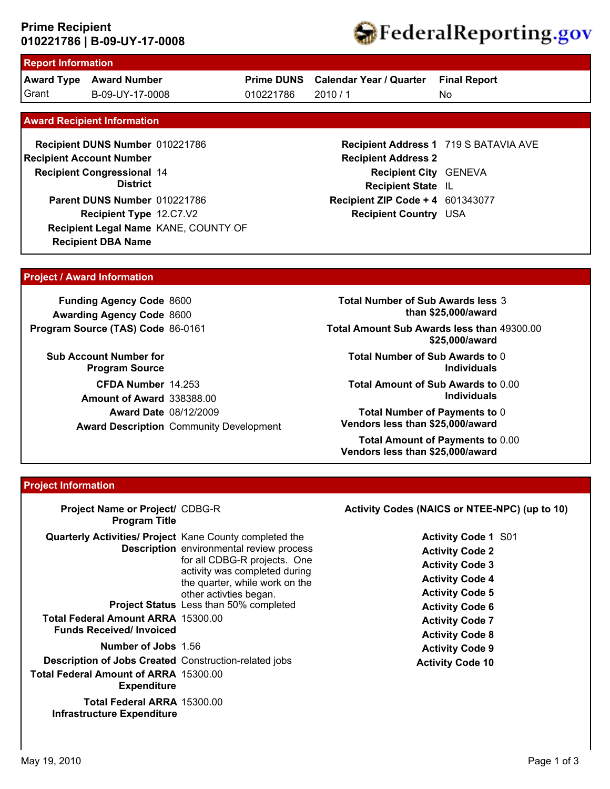### **010221786 | B-09-UY-17-0008 Prime Recipient**



# **Report Information**

**Award Type Award Number** Grant B-09-UY-17-0008 010221786 2010 / 1

**Prime DUNS Calendar Year / Quarter**

010221786

No **Final Report**

#### **Award Recipient Information**

**Recipient DBA Name Recipient DUNS Number** 010221786 **Recipient Congressional 14 Recipient Account Number District Recipient Type** 12.C7.V2 **Parent DUNS Number** 010221786 **Recipient Legal Name** KANE, COUNTY OF

### **Recipient Address 1** 719 S BATAVIA AVE **Recipient Address 2 Recipient City** GENEVA **Recipient State** IL **Recipient ZIP Code + 4** 601343077 **Recipient Country** USA

#### **Project / Award Information**

**Funding Agency Code** 8600 **Awarding Agency Code** 8600 **Program Source (TAS) Code** 86-0161

**Sub Account Number for Program Source CFDA Number** 14.253 **Award Date** 08/12/2009 **Award Description** Community Development **Amount of Award** 338388.00

**Total Number of Sub Awards less** 3 **than \$25,000/award**

**Total Amount Sub Awards less than** 49300.00 **\$25,000/award**

**Total Number of Sub Awards to** 0 **Individuals**

**Total Amount of Sub Awards to** 0.00 **Individuals**

**Total Number of Payments to** 0 **Vendors less than \$25,000/award**

**Total Amount of Payments to** 0.00 **Vendors less than \$25,000/award**

#### **Project Information**

| Project Name or Project/ CDBG-R<br><b>Program Title</b>                                                                                                          |                                                                                                                                                                                                                         | Activity Codes (NAICS or NTEE-NPC) (up to 10)                                                                                                                                                                    |
|------------------------------------------------------------------------------------------------------------------------------------------------------------------|-------------------------------------------------------------------------------------------------------------------------------------------------------------------------------------------------------------------------|------------------------------------------------------------------------------------------------------------------------------------------------------------------------------------------------------------------|
| <b>Quarterly Activities/ Project Kane County completed the</b><br><b>Total Federal Amount ARRA 15300.00</b><br><b>Funds Received/Invoiced</b>                    | <b>Description</b> environmental review process<br>for all CDBG-R projects. One<br>activity was completed during<br>the quarter, while work on the<br>other activities began.<br>Project Status Less than 50% completed | <b>Activity Code 1 S01</b><br><b>Activity Code 2</b><br><b>Activity Code 3</b><br><b>Activity Code 4</b><br><b>Activity Code 5</b><br><b>Activity Code 6</b><br><b>Activity Code 7</b><br><b>Activity Code 8</b> |
| <b>Number of Jobs</b> 1.56<br><b>Description of Jobs Created Construction-related jobs</b><br><b>Total Federal Amount of ARRA 15300.00</b><br><b>Expenditure</b> |                                                                                                                                                                                                                         | <b>Activity Code 9</b><br><b>Activity Code 10</b>                                                                                                                                                                |
| Total Federal ARRA 15300.00<br><b>Infrastructure Expenditure</b>                                                                                                 |                                                                                                                                                                                                                         |                                                                                                                                                                                                                  |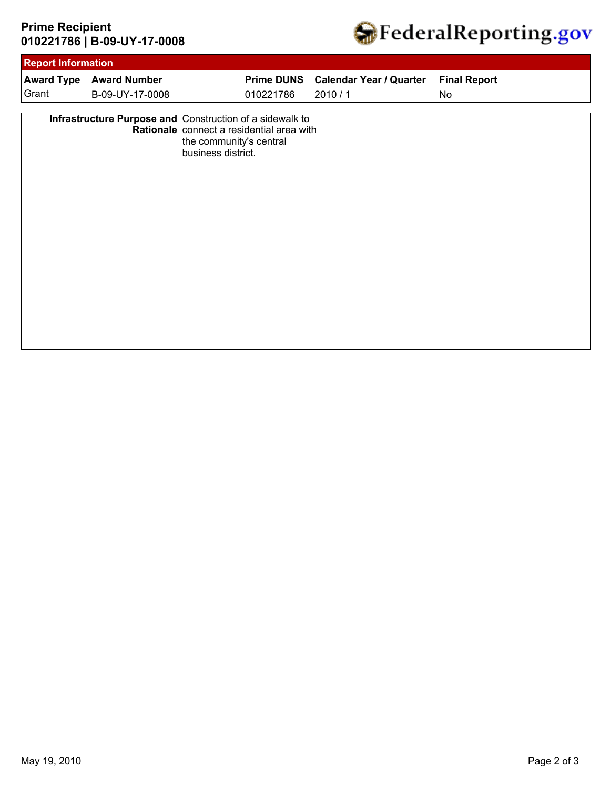# **010221786 | B-09-UY-17-0008 Prime Recipient**



| 010221786<br>B-09-UY-17-0008<br>2010/1<br>No<br>Infrastructure Purpose and Construction of a sidewalk to<br>Rationale connect a residential area with<br>the community's central<br>business district. | Grant | <b>Award Type</b> | <b>Award Number</b> |  | Prime DUNS Calendar Year / Quarter | <b>Final Report</b> |
|--------------------------------------------------------------------------------------------------------------------------------------------------------------------------------------------------------|-------|-------------------|---------------------|--|------------------------------------|---------------------|
|                                                                                                                                                                                                        |       |                   |                     |  |                                    |                     |
|                                                                                                                                                                                                        |       |                   |                     |  |                                    |                     |
|                                                                                                                                                                                                        |       |                   |                     |  |                                    |                     |